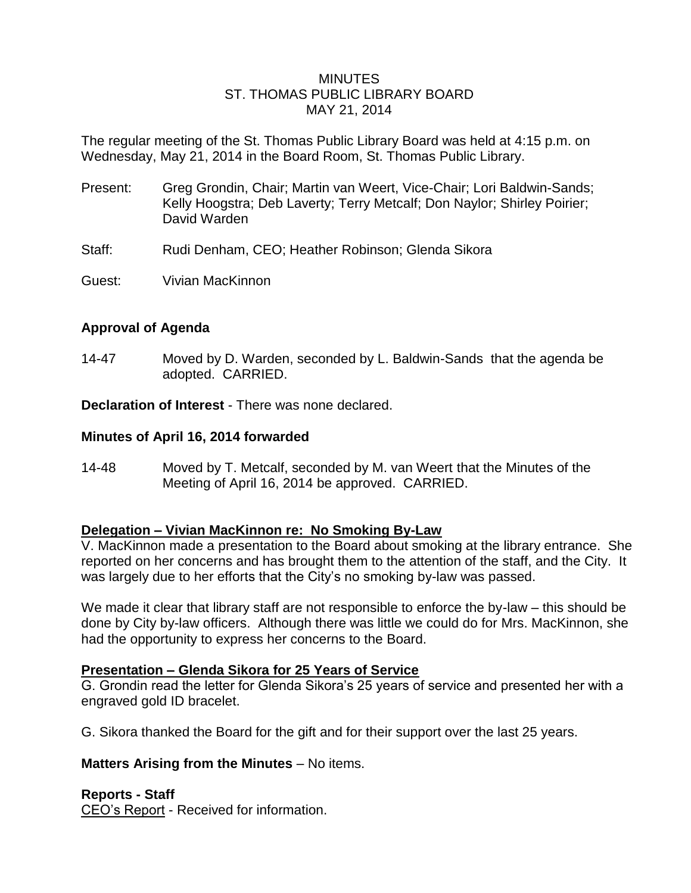### **MINUTES** ST. THOMAS PUBLIC LIBRARY BOARD MAY 21, 2014

The regular meeting of the St. Thomas Public Library Board was held at 4:15 p.m. on Wednesday, May 21, 2014 in the Board Room, St. Thomas Public Library.

- Present: Greg Grondin, Chair; Martin van Weert, Vice-Chair; Lori Baldwin-Sands; Kelly Hoogstra; Deb Laverty; Terry Metcalf; Don Naylor; Shirley Poirier; David Warden
- Staff: Rudi Denham, CEO; Heather Robinson; Glenda Sikora
- Guest: Vivian MacKinnon

# **Approval of Agenda**

14-47 Moved by D. Warden, seconded by L. Baldwin-Sands that the agenda be adopted. CARRIED.

**Declaration of Interest** - There was none declared.

### **Minutes of April 16, 2014 forwarded**

14-48 Moved by T. Metcalf, seconded by M. van Weert that the Minutes of the Meeting of April 16, 2014 be approved. CARRIED.

# **Delegation – Vivian MacKinnon re: No Smoking By-Law**

V. MacKinnon made a presentation to the Board about smoking at the library entrance. She reported on her concerns and has brought them to the attention of the staff, and the City. It was largely due to her efforts that the City's no smoking by-law was passed.

We made it clear that library staff are not responsible to enforce the by-law – this should be done by City by-law officers. Although there was little we could do for Mrs. MacKinnon, she had the opportunity to express her concerns to the Board.

### **Presentation – Glenda Sikora for 25 Years of Service**

G. Grondin read the letter for Glenda Sikora's 25 years of service and presented her with a engraved gold ID bracelet.

G. Sikora thanked the Board for the gift and for their support over the last 25 years.

### **Matters Arising from the Minutes** – No items.

# **Reports - Staff**

CEO's Report - Received for information.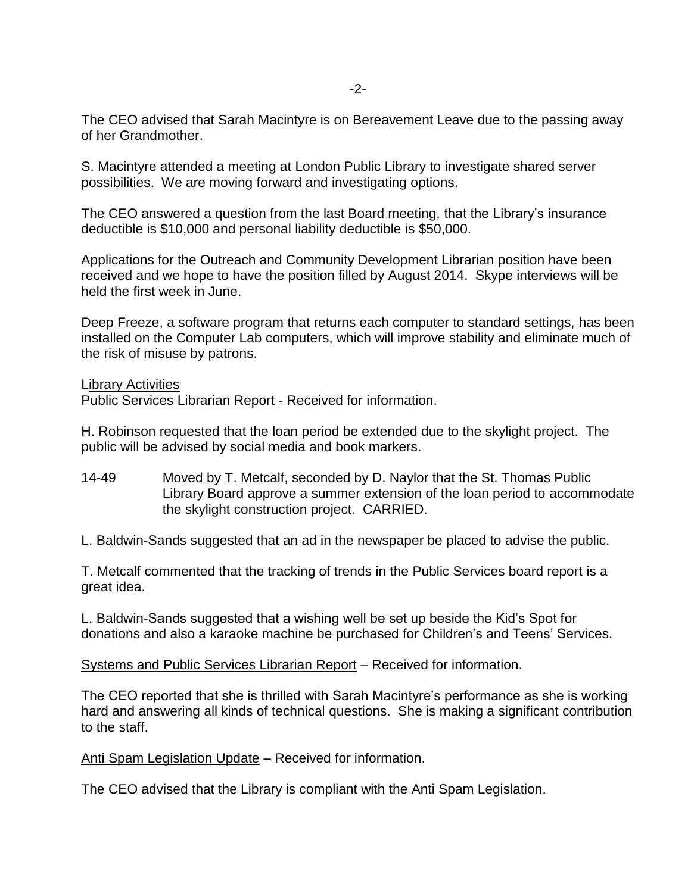The CEO advised that Sarah Macintyre is on Bereavement Leave due to the passing away of her Grandmother.

S. Macintyre attended a meeting at London Public Library to investigate shared server possibilities. We are moving forward and investigating options.

The CEO answered a question from the last Board meeting, that the Library's insurance deductible is \$10,000 and personal liability deductible is \$50,000.

Applications for the Outreach and Community Development Librarian position have been received and we hope to have the position filled by August 2014. Skype interviews will be held the first week in June.

Deep Freeze, a software program that returns each computer to standard settings, has been installed on the Computer Lab computers, which will improve stability and eliminate much of the risk of misuse by patrons.

### Library Activities

Public Services Librarian Report - Received for information.

H. Robinson requested that the loan period be extended due to the skylight project. The public will be advised by social media and book markers.

14-49 Moved by T. Metcalf, seconded by D. Naylor that the St. Thomas Public Library Board approve a summer extension of the loan period to accommodate the skylight construction project. CARRIED.

L. Baldwin-Sands suggested that an ad in the newspaper be placed to advise the public.

T. Metcalf commented that the tracking of trends in the Public Services board report is a great idea.

L. Baldwin-Sands suggested that a wishing well be set up beside the Kid's Spot for donations and also a karaoke machine be purchased for Children's and Teens' Services.

Systems and Public Services Librarian Report – Received for information.

The CEO reported that she is thrilled with Sarah Macintyre's performance as she is working hard and answering all kinds of technical questions. She is making a significant contribution to the staff.

Anti Spam Legislation Update – Received for information.

The CEO advised that the Library is compliant with the Anti Spam Legislation.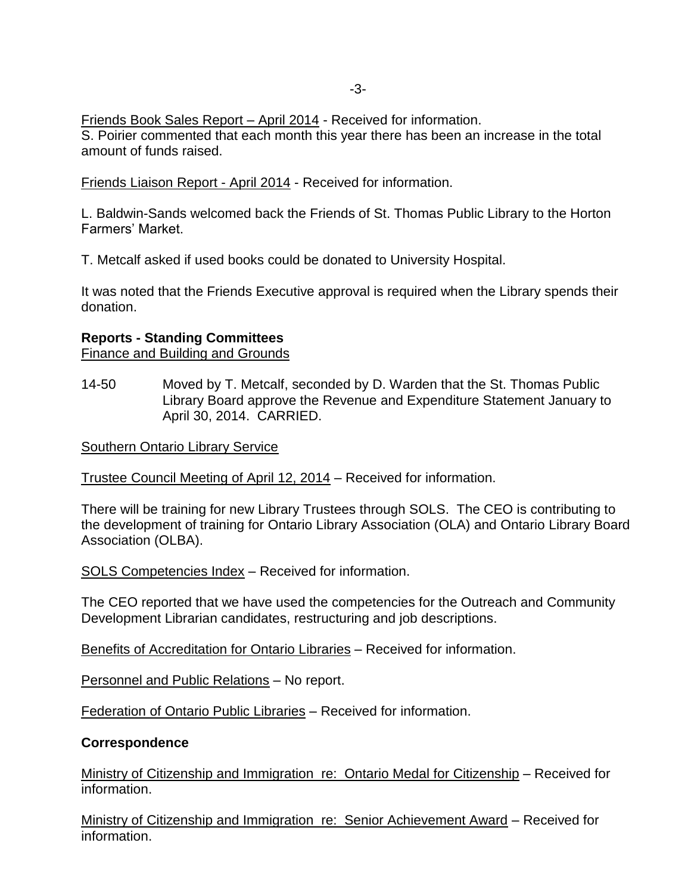Friends Book Sales Report – April 2014 - Received for information.

S. Poirier commented that each month this year there has been an increase in the total amount of funds raised.

Friends Liaison Report - April 2014 - Received for information.

L. Baldwin-Sands welcomed back the Friends of St. Thomas Public Library to the Horton Farmers' Market.

T. Metcalf asked if used books could be donated to University Hospital.

It was noted that the Friends Executive approval is required when the Library spends their donation.

### **Reports - Standing Committees**

Finance and Building and Grounds

14-50 Moved by T. Metcalf, seconded by D. Warden that the St. Thomas Public Library Board approve the Revenue and Expenditure Statement January to April 30, 2014. CARRIED.

Southern Ontario Library Service

Trustee Council Meeting of April 12, 2014 – Received for information.

There will be training for new Library Trustees through SOLS. The CEO is contributing to the development of training for Ontario Library Association (OLA) and Ontario Library Board Association (OLBA).

SOLS Competencies Index – Received for information.

The CEO reported that we have used the competencies for the Outreach and Community Development Librarian candidates, restructuring and job descriptions.

Benefits of Accreditation for Ontario Libraries – Received for information.

Personnel and Public Relations – No report.

Federation of Ontario Public Libraries – Received for information.

### **Correspondence**

Ministry of Citizenship and Immigration re: Ontario Medal for Citizenship – Received for information.

Ministry of Citizenship and Immigration re: Senior Achievement Award – Received for information.